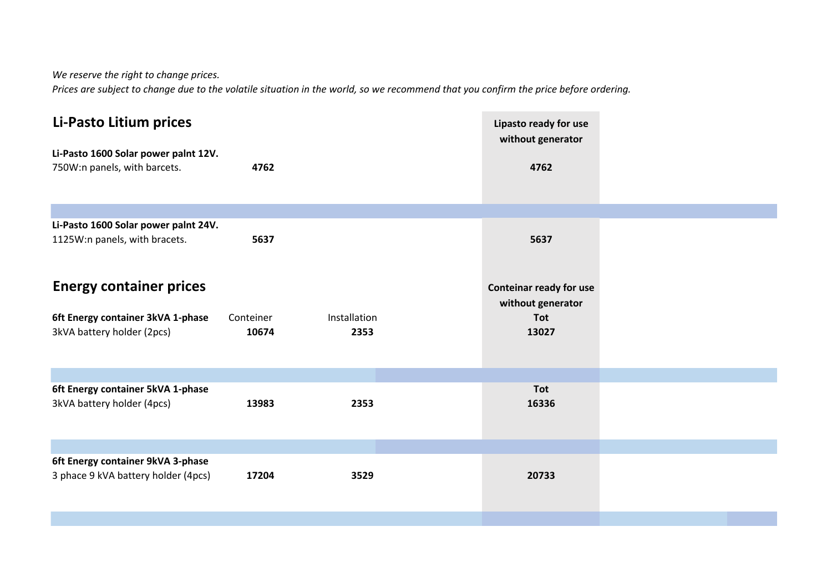*We reserve the right to change prices.*

*Prices are subject to change due to the volatile situation in the world, so we recommend that you confirm the price before ordering.*

| Li-Pasto Litium prices<br>Li-Pasto 1600 Solar power palnt 12V.<br>750W:n panels, with barcets.    | 4762               |                      | Lipasto ready for use<br>without generator<br>4762                  |  |
|---------------------------------------------------------------------------------------------------|--------------------|----------------------|---------------------------------------------------------------------|--|
|                                                                                                   |                    |                      |                                                                     |  |
| Li-Pasto 1600 Solar power palnt 24V.<br>1125W:n panels, with bracets.                             | 5637               |                      | 5637                                                                |  |
| <b>Energy container prices</b><br>6ft Energy container 3kVA 1-phase<br>3kVA battery holder (2pcs) | Conteiner<br>10674 | Installation<br>2353 | Conteinar ready for use<br>without generator<br><b>Tot</b><br>13027 |  |
|                                                                                                   |                    |                      |                                                                     |  |
| 6ft Energy container 5kVA 1-phase<br>3kVA battery holder (4pcs)                                   | 13983              | 2353                 | Tot<br>16336                                                        |  |
|                                                                                                   |                    |                      |                                                                     |  |
| 6ft Energy container 9kVA 3-phase<br>3 phace 9 kVA battery holder (4pcs)                          | 17204              | 3529                 | 20733                                                               |  |
|                                                                                                   |                    |                      |                                                                     |  |